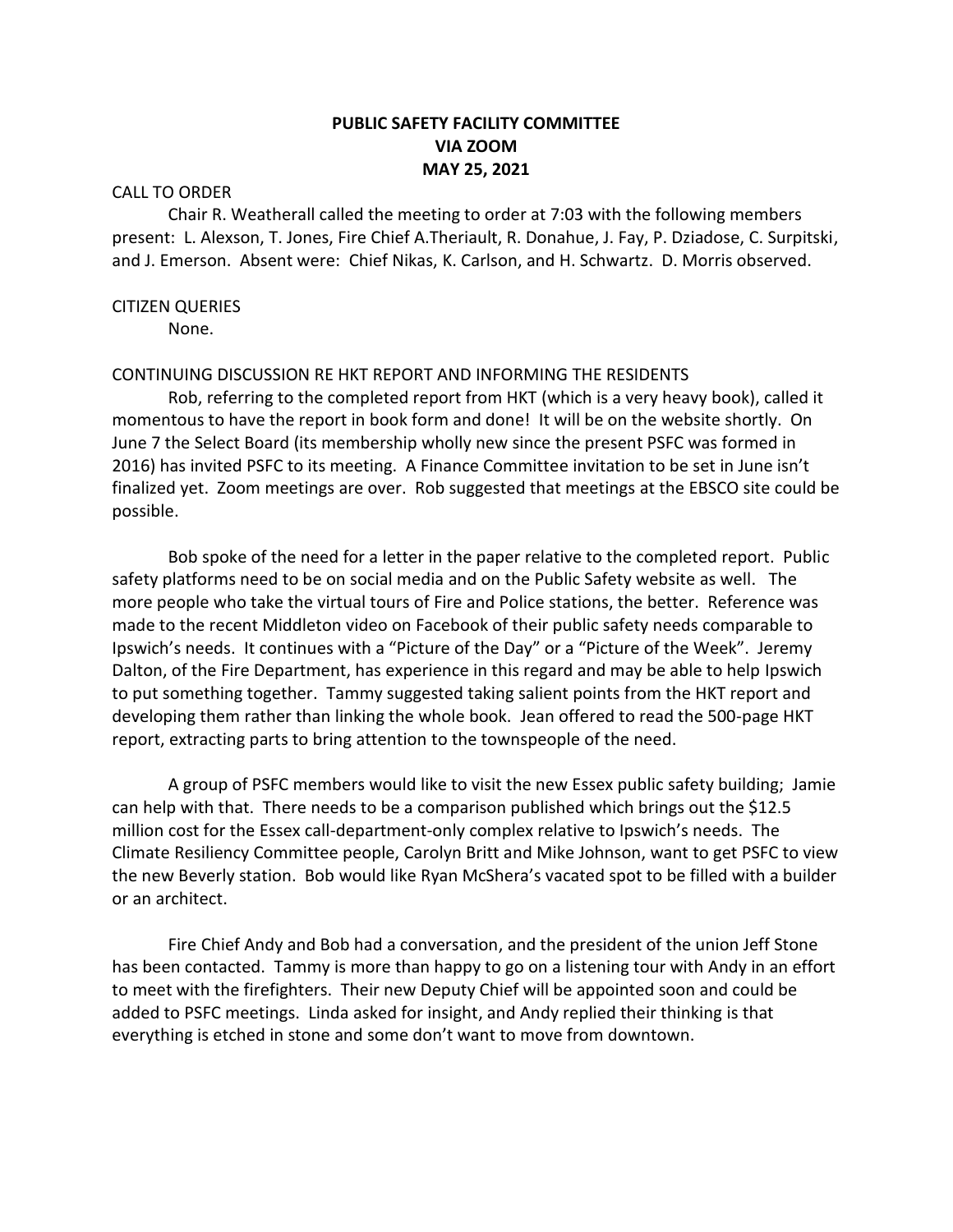# **PUBLIC SAFETY FACILITY COMMITTEE VIA ZOOM MAY 25, 2021**

#### CALL TO ORDER

Chair R. Weatherall called the meeting to order at 7:03 with the following members present: L. Alexson, T. Jones, Fire Chief A.Theriault, R. Donahue, J. Fay, P. Dziadose, C. Surpitski, and J. Emerson. Absent were: Chief Nikas, K. Carlson, and H. Schwartz. D. Morris observed.

#### CITIZEN QUERIES

None.

#### CONTINUING DISCUSSION RE HKT REPORT AND INFORMING THE RESIDENTS

Rob, referring to the completed report from HKT (which is a very heavy book), called it momentous to have the report in book form and done! It will be on the website shortly. On June 7 the Select Board (its membership wholly new since the present PSFC was formed in 2016) has invited PSFC to its meeting. A Finance Committee invitation to be set in June isn't finalized yet. Zoom meetings are over. Rob suggested that meetings at the EBSCO site could be possible.

Bob spoke of the need for a letter in the paper relative to the completed report. Public safety platforms need to be on social media and on the Public Safety website as well. The more people who take the virtual tours of Fire and Police stations, the better. Reference was made to the recent Middleton video on Facebook of their public safety needs comparable to Ipswich's needs. It continues with a "Picture of the Day" or a "Picture of the Week". Jeremy Dalton, of the Fire Department, has experience in this regard and may be able to help Ipswich to put something together. Tammy suggested taking salient points from the HKT report and developing them rather than linking the whole book. Jean offered to read the 500-page HKT report, extracting parts to bring attention to the townspeople of the need.

A group of PSFC members would like to visit the new Essex public safety building; Jamie can help with that. There needs to be a comparison published which brings out the \$12.5 million cost for the Essex call-department-only complex relative to Ipswich's needs. The Climate Resiliency Committee people, Carolyn Britt and Mike Johnson, want to get PSFC to view the new Beverly station. Bob would like Ryan McShera's vacated spot to be filled with a builder or an architect.

Fire Chief Andy and Bob had a conversation, and the president of the union Jeff Stone has been contacted. Tammy is more than happy to go on a listening tour with Andy in an effort to meet with the firefighters. Their new Deputy Chief will be appointed soon and could be added to PSFC meetings. Linda asked for insight, and Andy replied their thinking is that everything is etched in stone and some don't want to move from downtown.